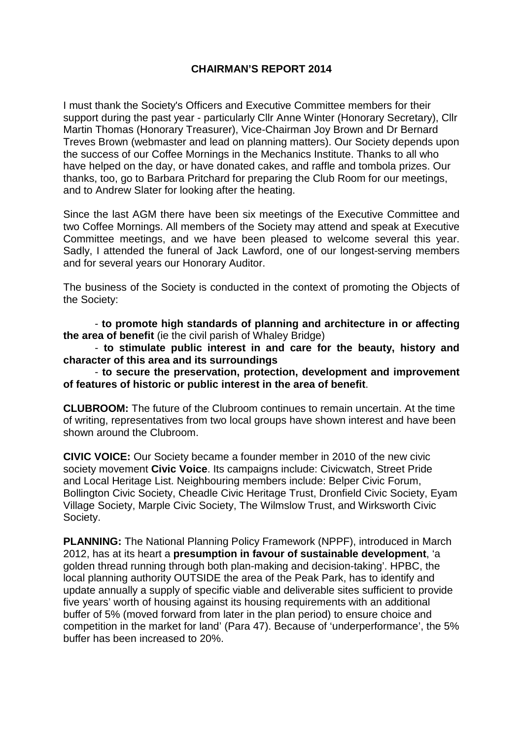## **CHAIRMAN'S REPORT 2014**

I must thank the Society's Officers and Executive Committee members for their support during the past year - particularly Cllr Anne Winter (Honorary Secretary), Cllr Martin Thomas (Honorary Treasurer), Vice-Chairman Joy Brown and Dr Bernard Treves Brown (webmaster and lead on planning matters). Our Society depends upon the success of our Coffee Mornings in the Mechanics Institute. Thanks to all who have helped on the day, or have donated cakes, and raffle and tombola prizes. Our thanks, too, go to Barbara Pritchard for preparing the Club Room for our meetings, and to Andrew Slater for looking after the heating.

Since the last AGM there have been six meetings of the Executive Committee and two Coffee Mornings. All members of the Society may attend and speak at Executive Committee meetings, and we have been pleased to welcome several this year. Sadly, I attended the funeral of Jack Lawford, one of our longest-serving members and for several years our Honorary Auditor.

The business of the Society is conducted in the context of promoting the Objects of the Society:

- **to promote high standards of planning and architecture in or affecting the area of benefit** (ie the civil parish of Whaley Bridge)

- **to stimulate public interest in and care for the beauty, history and character of this area and its surroundings**

- **to secure the preservation, protection, development and improvement of features of historic or public interest in the area of benefit**.

**CLUBROOM:** The future of the Clubroom continues to remain uncertain. At the time of writing, representatives from two local groups have shown interest and have been shown around the Clubroom.

**CIVIC VOICE:** Our Society became a founder member in 2010 of the new civic society movement **Civic Voice**. Its campaigns include: Civicwatch, Street Pride and Local Heritage List. Neighbouring members include: Belper Civic Forum, Bollington Civic Society, Cheadle Civic Heritage Trust, Dronfield Civic Society, Eyam Village Society, Marple Civic Society, The Wilmslow Trust, and Wirksworth Civic Society.

**PLANNING:** The National Planning Policy Framework (NPPF), introduced in March 2012, has at its heart a **presumption in favour of sustainable development**, 'a golden thread running through both plan-making and decision-taking'. HPBC, the local planning authority OUTSIDE the area of the Peak Park, has to identify and update annually a supply of specific viable and deliverable sites sufficient to provide five years' worth of housing against its housing requirements with an additional buffer of 5% (moved forward from later in the plan period) to ensure choice and competition in the market for land' (Para 47). Because of 'underperformance', the 5% buffer has been increased to 20%.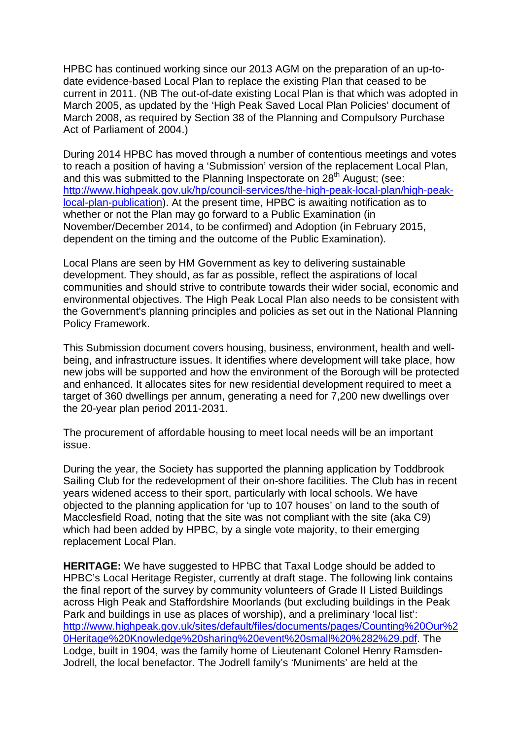HPBC has continued working since our 2013 AGM on the preparation of an up-todate evidence-based Local Plan to replace the existing Plan that ceased to be current in 2011. (NB The out-of-date existing Local Plan is that which was adopted in March 2005, as updated by the 'High Peak Saved Local Plan Policies' document of March 2008, as required by Section 38 of the Planning and Compulsory Purchase Act of Parliament of 2004.)

During 2014 HPBC has moved through a number of contentious meetings and votes to reach a position of having a 'Submission' version of the replacement Local Plan, and this was submitted to the Planning Inspectorate on 28<sup>th</sup> August: (see: [http://www.highpeak.gov.uk/hp/council-services/the-high-peak-local-plan/high-peak](http://www.highpeak.gov.uk/hp/council-services/the-high-peak-local-plan/high-peak-local-plan-publication)[local-plan-publication\)](http://www.highpeak.gov.uk/hp/council-services/the-high-peak-local-plan/high-peak-local-plan-publication). At the present time, HPBC is awaiting notification as to whether or not the Plan may go forward to a Public Examination (in November/December 2014, to be confirmed) and Adoption (in February 2015, dependent on the timing and the outcome of the Public Examination).

Local Plans are seen by HM Government as key to delivering sustainable development. They should, as far as possible, reflect the aspirations of local communities and should strive to contribute towards their wider social, economic and environmental objectives. The High Peak Local Plan also needs to be consistent with the Government's planning principles and policies as set out in the National Planning Policy Framework.

This Submission document covers housing, business, environment, health and wellbeing, and infrastructure issues. It identifies where development will take place, how new jobs will be supported and how the environment of the Borough will be protected and enhanced. It allocates sites for new residential development required to meet a target of 360 dwellings per annum, generating a need for 7,200 new dwellings over the 20-year plan period 2011-2031.

The procurement of affordable housing to meet local needs will be an important issue.

During the year, the Society has supported the planning application by Toddbrook Sailing Club for the redevelopment of their on-shore facilities. The Club has in recent years widened access to their sport, particularly with local schools. We have objected to the planning application for 'up to 107 houses' on land to the south of Macclesfield Road, noting that the site was not compliant with the site (aka C9) which had been added by HPBC, by a single vote majority, to their emerging replacement Local Plan.

**HERITAGE:** We have suggested to HPBC that Taxal Lodge should be added to HPBC's Local Heritage Register, currently at draft stage. The following link contains the final report of the survey by community volunteers of Grade II Listed Buildings across High Peak and Staffordshire Moorlands (but excluding buildings in the Peak Park and buildings in use as places of worship), and a preliminary 'local list': [http://www.highpeak.gov.uk/sites/default/files/documents/pages/Counting%20Our%2](http://www.highpeak.gov.uk/sites/default/files/documents/pages/Counting%20Our%20Heritage%20Knowledge%20sharing%20event%20small%20%282%29.pdf) [0Heritage%20Knowledge%20sharing%20event%20small%20%282%29.pdf.](http://www.highpeak.gov.uk/sites/default/files/documents/pages/Counting%20Our%20Heritage%20Knowledge%20sharing%20event%20small%20%282%29.pdf) The Lodge, built in 1904, was the family home of Lieutenant Colonel Henry Ramsden-Jodrell, the local benefactor. The Jodrell family's 'Muniments' are held at the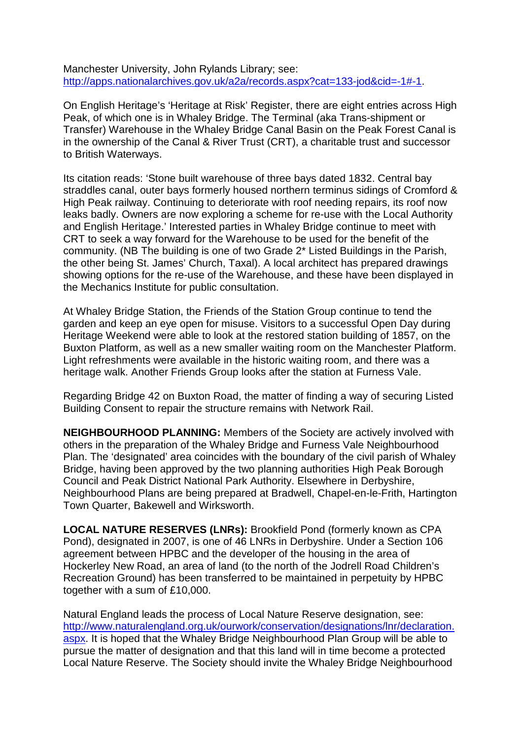[Manchester University, John Rylands Library;](http://apps.nationalarchives.gov.uk/archon/searches/locresult_details.asp?LR=133) see: [http://apps.nationalarchives.gov.uk/a2a/records.aspx?cat=133-jod&cid=-1#-1.](http://apps.nationalarchives.gov.uk/a2a/records.aspx?cat=133-jod&cid=-1#-1)

On English Heritage's 'Heritage at Risk' Register, there are eight entries across High Peak, of which one is in Whaley Bridge. The Terminal (aka Trans-shipment or Transfer) Warehouse in the Whaley Bridge Canal Basin on the Peak Forest Canal is in the ownership of the Canal & River Trust (CRT), a charitable trust and successor to British Waterways.

Its citation reads: 'Stone built warehouse of three bays dated 1832. Central bay straddles canal, outer bays formerly housed northern terminus sidings of Cromford & High Peak railway. Continuing to deteriorate with roof needing repairs, its roof now leaks badly. Owners are now exploring a scheme for re-use with the Local Authority and English Heritage.' Interested parties in Whaley Bridge continue to meet with CRT to seek a way forward for the Warehouse to be used for the benefit of the community. (NB The building is one of two Grade 2\* Listed Buildings in the Parish, the other being St. James' Church, Taxal). A local architect has prepared drawings showing options for the re-use of the Warehouse, and these have been displayed in the Mechanics Institute for public consultation.

At Whaley Bridge Station, the Friends of the Station Group continue to tend the garden and keep an eye open for misuse. Visitors to a successful Open Day during Heritage Weekend were able to look at the restored station building of 1857, on the Buxton Platform, as well as a new smaller waiting room on the Manchester Platform. Light refreshments were available in the historic waiting room, and there was a heritage walk. Another Friends Group looks after the station at Furness Vale.

Regarding Bridge 42 on Buxton Road, the matter of finding a way of securing Listed Building Consent to repair the structure remains with Network Rail.

**NEIGHBOURHOOD PLANNING:** Members of the Society are actively involved with others in the preparation of the Whaley Bridge and Furness Vale Neighbourhood Plan. The 'designated' area coincides with the boundary of the civil parish of Whaley Bridge, having been approved by the two planning authorities High Peak Borough Council and Peak District National Park Authority. Elsewhere in Derbyshire, Neighbourhood Plans are being prepared at Bradwell, Chapel-en-le-Frith, Hartington Town Quarter, Bakewell and Wirksworth.

**LOCAL NATURE RESERVES (LNRs):** Brookfield Pond (formerly known as CPA Pond), designated in 2007, is one of 46 LNRs in Derbyshire. Under a Section 106 agreement between HPBC and the developer of the housing in the area of Hockerley New Road, an area of land (to the north of the Jodrell Road Children's Recreation Ground) has been transferred to be maintained in perpetuity by HPBC together with a sum of £10,000.

Natural England leads the process of Local Nature Reserve designation, see: [http://www.naturalengland.org.uk/ourwork/conservation/designations/lnr/declaration.](http://www.naturalengland.org.uk/ourwork/conservation/designations/lnr/declaration.aspx) [aspx.](http://www.naturalengland.org.uk/ourwork/conservation/designations/lnr/declaration.aspx) It is hoped that the Whaley Bridge Neighbourhood Plan Group will be able to pursue the matter of designation and that this land will in time become a protected Local Nature Reserve. The Society should invite the Whaley Bridge Neighbourhood